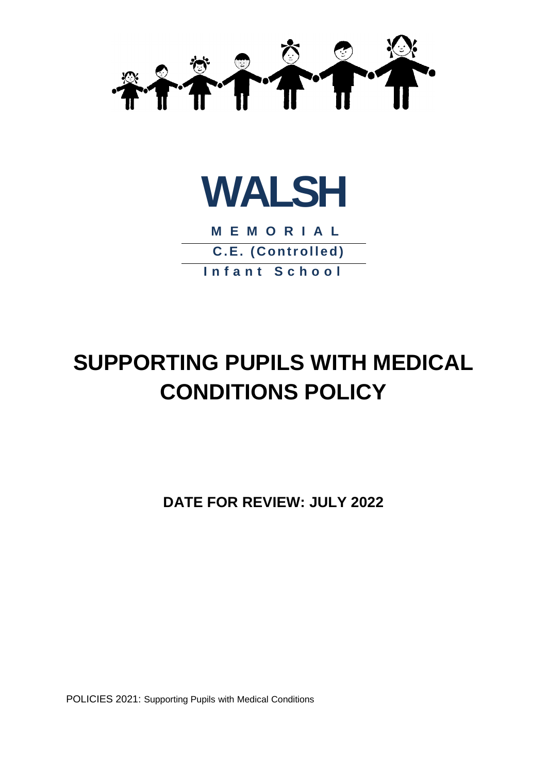



**M E M O R I A L C.E. (Controlled) I n f a n t S c h o o l**

# **SUPPORTING PUPILS WITH MEDICAL CONDITIONS POLICY**

**DATE FOR REVIEW: JULY 2022**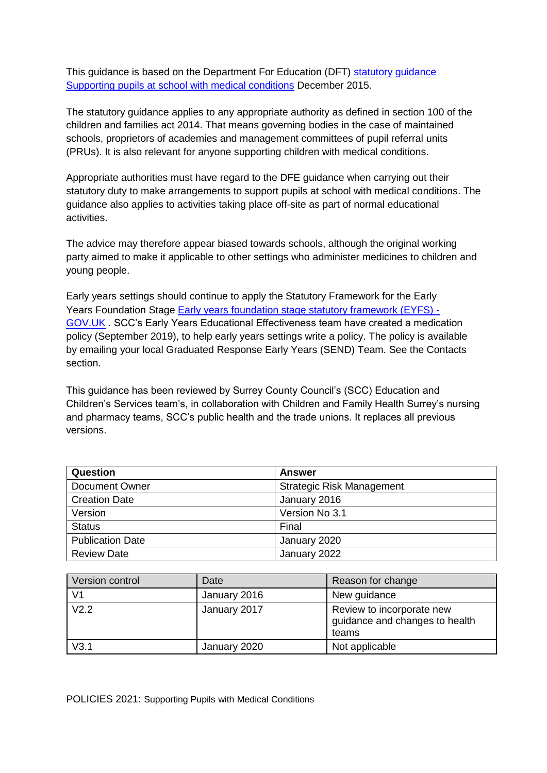This guidance is based on the Department For Education (DFT[\)](https://www.gov.uk/government/publications/supporting-pupils-at-school-with-medical-conditions--3) [statutory guidance](https://www.gov.uk/government/publications/supporting-pupils-at-school-with-medical-conditions--3) [Supporting pupils at school with medical conditions](https://www.gov.uk/government/publications/supporting-pupils-at-school-with-medical-conditions--3) [D](https://www.gov.uk/government/publications/supporting-pupils-at-school-with-medical-conditions--3)ecember 2015.

The statutory guidance applies to any appropriate authority as defined in section 100 of the children and families act 2014. That means governing bodies in the case of maintained schools, proprietors of academies and management committees of pupil referral units (PRUs). It is also relevant for anyone supporting children with medical conditions.

Appropriate authorities must have regard to the DFE guidance when carrying out their statutory duty to make arrangements to support pupils at school with medical conditions. The guidance also applies to activities taking place off-site as part of normal educational activities.

The advice may therefore appear biased towards schools, although the original working party aimed to make it applicable to other settings who administer medicines to children and young people.

Early years settings should continue to apply the Statutory Framework for the Early Years Foundation Stage [Early years foundation stage statutory framework \(EYFS\) -](https://www.gov.uk/government/publications/early-years-foundation-stage-framework--2) [GOV.UK](https://www.gov.uk/government/publications/early-years-foundation-stage-framework--2) [.](https://www.gov.uk/government/publications/early-years-foundation-stage-framework--2) SCC's Early Years Educational Effectiveness team have created a medication policy (September 2019), to help early years settings write a policy. The policy is available by emailing your local Graduated Response Early Years (SEND) Team. See the Contacts section.

This guidance has been reviewed by Surrey County Council's (SCC) Education and Children's Services team's, in collaboration with Children and Family Health Surrey's nursing and pharmacy teams, SCC's public health and the trade unions. It replaces all previous versions.

| Question                | Answer                           |  |
|-------------------------|----------------------------------|--|
| <b>Document Owner</b>   | <b>Strategic Risk Management</b> |  |
| <b>Creation Date</b>    | January 2016                     |  |
| Version                 | Version No 3.1                   |  |
| <b>Status</b>           | Final                            |  |
| <b>Publication Date</b> | January 2020                     |  |
| <b>Review Date</b>      | January 2022                     |  |

| Version control | Date         | Reason for change                                                    |
|-----------------|--------------|----------------------------------------------------------------------|
| V <sub>1</sub>  | January 2016 | New guidance                                                         |
| V2.2            | January 2017 | Review to incorporate new<br>guidance and changes to health<br>teams |
| V3.1            | January 2020 | Not applicable                                                       |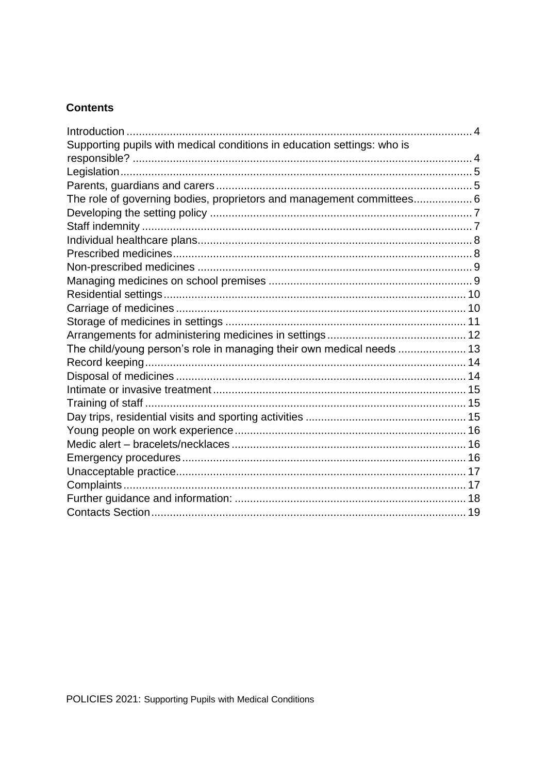# **Contents**

<span id="page-2-0"></span>

| The role of governing bodies, proprietors and management committees 6 |
|-----------------------------------------------------------------------|
|                                                                       |
|                                                                       |
|                                                                       |
|                                                                       |
|                                                                       |
|                                                                       |
|                                                                       |
|                                                                       |
|                                                                       |
|                                                                       |
| The child/young person's role in managing their own medical needs  13 |
|                                                                       |
|                                                                       |
|                                                                       |
|                                                                       |
|                                                                       |
|                                                                       |
|                                                                       |
|                                                                       |
|                                                                       |
|                                                                       |
|                                                                       |
|                                                                       |
|                                                                       |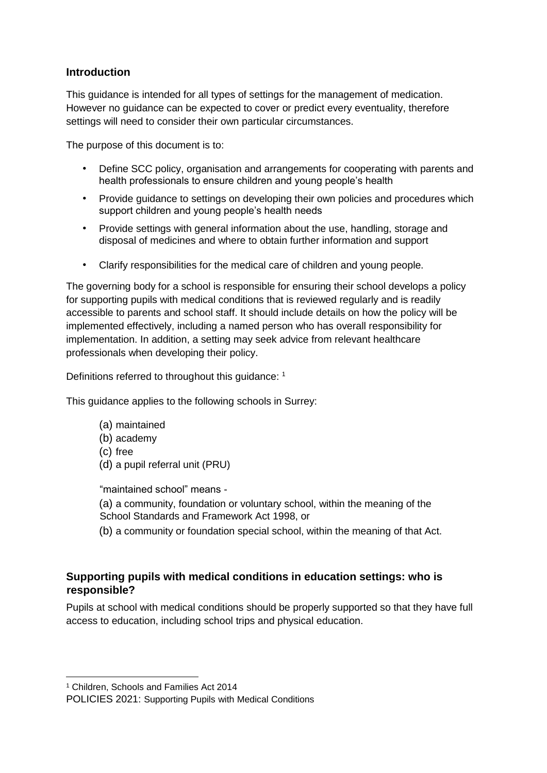## **Introduction**

This guidance is intended for all types of settings for the management of medication. However no guidance can be expected to cover or predict every eventuality, therefore settings will need to consider their own particular circumstances.

The purpose of this document is to:

- Define SCC policy, organisation and arrangements for cooperating with parents and health professionals to ensure children and young people's health
- Provide guidance to settings on developing their own policies and procedures which support children and young people's health needs
- Provide settings with general information about the use, handling, storage and disposal of medicines and where to obtain further information and support
- Clarify responsibilities for the medical care of children and young people.

The governing body for a school is responsible for ensuring their school develops a policy for supporting pupils with medical conditions that is reviewed regularly and is readily accessible to parents and school staff. It should include details on how the policy will be implemented effectively, including a named person who has overall responsibility for implementation. In addition, a setting may seek advice from relevant healthcare professionals when developing their policy.

Definitions referred to throughout this guidance: <sup>1</sup>

This guidance applies to the following schools in Surrey:

- (a) maintained
- (b) academy
- (c) free
- (d) a pupil referral unit (PRU)

"maintained school" means -

- (a) a community, foundation or voluntary school, within the meaning of the School Standards and Framework Act 1998, or
- (b) a community or foundation special school, within the meaning of that Act.

# <span id="page-3-0"></span>**Supporting pupils with medical conditions in education settings: who is responsible?**

Pupils at school with medical conditions should be properly supported so that they have full access to education, including school trips and physical education.

**.** 

<sup>1</sup> Children, Schools and Families Act 2014

POLICIES 2021: Supporting Pupils with Medical Conditions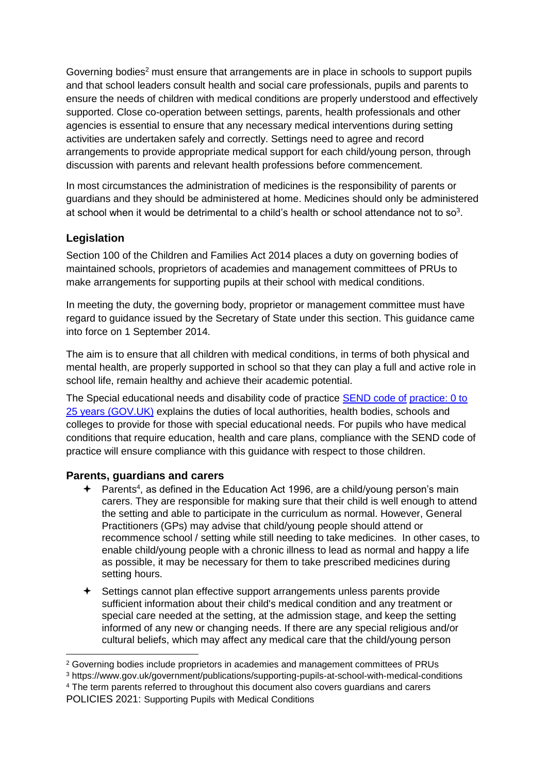Governing bodies<sup>2</sup> must ensure that arrangements are in place in schools to support pupils and that school leaders consult health and social care professionals, pupils and parents to ensure the needs of children with medical conditions are properly understood and effectively supported. Close co-operation between settings, parents, health professionals and other agencies is essential to ensure that any necessary medical interventions during setting activities are undertaken safely and correctly. Settings need to agree and record arrangements to provide appropriate medical support for each child/young person, through discussion with parents and relevant health professions before commencement.

In most circumstances the administration of medicines is the responsibility of parents or guardians and they should be administered at home. Medicines should only be administered at school when it would be detrimental to a child's health or school attendance not to so<sup>3</sup>.

# <span id="page-4-0"></span>**Legislation**

 $\overline{\phantom{a}}$ 

Section 100 of the Children and Families Act 2014 places a duty on governing bodies of maintained schools, proprietors of academies and management committees of PRUs to make arrangements for supporting pupils at their school with medical conditions.

In meeting the duty, the governing body, proprietor or management committee must have regard to guidance issued by the Secretary of State under this section. This guidance came into force on 1 September 2014.

The aim is to ensure that all children with medical conditions, in terms of both physical and mental health, are properly supported in school so that they can play a full and active role in school life, remain healthy and achieve their academic potential.

The Special educational needs and disability code of practice [SEND code of](https://www.gov.uk/government/publications/send-code-of-practice-0-to-25) [practice: 0 to](https://www.gov.uk/government/publications/send-code-of-practice-0-to-25)  [25 years \(GOV.UK\)](https://www.gov.uk/government/publications/send-code-of-practice-0-to-25) explains the duties of local authorities, health bodies, schools and colleges to provide for those with special educational needs. For pupils who have medical conditions that require education, health and care plans, compliance with the SEND code of practice will ensure compliance with this guidance with respect to those children.

## <span id="page-4-1"></span>**Parents, guardians and carers**

- **←** Parents<sup>4</sup>, as defined in the Education Act 1996, are a child/young person's main carers. They are responsible for making sure that their child is well enough to attend the setting and able to participate in the curriculum as normal. However, General Practitioners (GPs) may advise that child/young people should attend or recommence school / setting while still needing to take medicines. In other cases, to enable child/young people with a chronic illness to lead as normal and happy a life as possible, it may be necessary for them to take prescribed medicines during setting hours.
- Settings cannot plan effective support arrangements unless parents provide sufficient information about their child's medical condition and any treatment or special care needed at the setting, at the admission stage, and keep the setting informed of any new or changing needs. If there are any special religious and/or cultural beliefs, which may affect any medical care that the child/young person

<sup>4</sup> The term parents referred to throughout this document also covers guardians and carers

```
POLICIES 2021: Supporting Pupils with Medical Conditions
```
<sup>2</sup> Governing bodies include proprietors in academies and management committees of PRUs

<sup>3</sup> https://www.gov.uk/government/publications/supporting-pupils-at-school-with-medical-conditions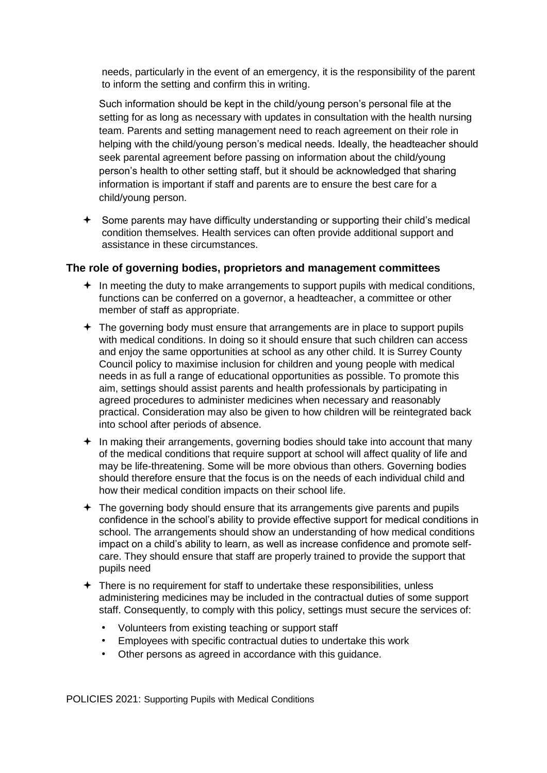needs, particularly in the event of an emergency, it is the responsibility of the parent to inform the setting and confirm this in writing.

Such information should be kept in the child/young person's personal file at the setting for as long as necessary with updates in consultation with the health nursing team. Parents and setting management need to reach agreement on their role in helping with the child/young person's medical needs. Ideally, the headteacher should seek parental agreement before passing on information about the child/young person's health to other setting staff, but it should be acknowledged that sharing information is important if staff and parents are to ensure the best care for a child/young person.

 $\triangle$  Some parents may have difficulty understanding or supporting their child's medical condition themselves. Health services can often provide additional support and assistance in these circumstances.

#### <span id="page-5-0"></span>**The role of governing bodies, proprietors and management committees**

- $\triangleq$  In meeting the duty to make arrangements to support pupils with medical conditions, functions can be conferred on a governor, a headteacher, a committee or other member of staff as appropriate.
- $\div$  The governing body must ensure that arrangements are in place to support pupils with medical conditions. In doing so it should ensure that such children can access and enjoy the same opportunities at school as any other child. It is Surrey County Council policy to maximise inclusion for children and young people with medical needs in as full a range of educational opportunities as possible. To promote this aim, settings should assist parents and health professionals by participating in agreed procedures to administer medicines when necessary and reasonably practical. Consideration may also be given to how children will be reintegrated back into school after periods of absence.
- $+$  In making their arrangements, governing bodies should take into account that many of the medical conditions that require support at school will affect quality of life and may be life-threatening. Some will be more obvious than others. Governing bodies should therefore ensure that the focus is on the needs of each individual child and how their medical condition impacts on their school life.
- $\div$  The governing body should ensure that its arrangements give parents and pupils confidence in the school's ability to provide effective support for medical conditions in school. The arrangements should show an understanding of how medical conditions impact on a child's ability to learn, as well as increase confidence and promote selfcare. They should ensure that staff are properly trained to provide the support that pupils need
- $\triangle$  There is no requirement for staff to undertake these responsibilities, unless administering medicines may be included in the contractual duties of some support staff. Consequently, to comply with this policy, settings must secure the services of:
	- Volunteers from existing teaching or support staff
	- Employees with specific contractual duties to undertake this work
	- Other persons as agreed in accordance with this guidance.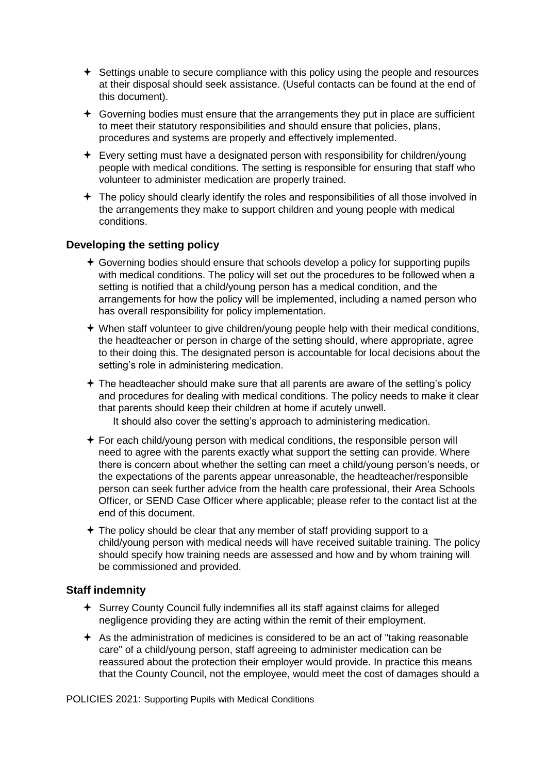- $\triangle$  Settings unable to secure compliance with this policy using the people and resources at their disposal should seek assistance. (Useful contacts can be found at the end of this document).
- Governing bodies must ensure that the arrangements they put in place are sufficient to meet their statutory responsibilities and should ensure that policies, plans, procedures and systems are properly and effectively implemented.
- $\div$  Every setting must have a designated person with responsibility for children/young people with medical conditions. The setting is responsible for ensuring that staff who volunteer to administer medication are properly trained.
- $\div$  The policy should clearly identify the roles and responsibilities of all those involved in the arrangements they make to support children and young people with medical conditions.

# <span id="page-6-0"></span>**Developing the setting policy**

- Governing bodies should ensure that schools develop a policy for supporting pupils with medical conditions. The policy will set out the procedures to be followed when a setting is notified that a child/young person has a medical condition, and the arrangements for how the policy will be implemented, including a named person who has overall responsibility for policy implementation.
- When staff volunteer to give children/young people help with their medical conditions, the headteacher or person in charge of the setting should, where appropriate, agree to their doing this. The designated person is accountable for local decisions about the setting's role in administering medication.
- $\div$  The headteacher should make sure that all parents are aware of the setting's policy and procedures for dealing with medical conditions. The policy needs to make it clear that parents should keep their children at home if acutely unwell.

It should also cover the setting's approach to administering medication.

- $\div$  For each child/young person with medical conditions, the responsible person will need to agree with the parents exactly what support the setting can provide. Where there is concern about whether the setting can meet a child/young person's needs, or the expectations of the parents appear unreasonable, the headteacher/responsible person can seek further advice from the health care professional, their Area Schools Officer, or SEND Case Officer where applicable; please refer to the contact list at the end of this document.
- $\triangle$  The policy should be clear that any member of staff providing support to a child/young person with medical needs will have received suitable training. The policy should specify how training needs are assessed and how and by whom training will be commissioned and provided.

## <span id="page-6-1"></span>**Staff indemnity**

- Surrey County Council fully indemnifies all its staff against claims for alleged negligence providing they are acting within the remit of their employment.
- $\triangle$  As the administration of medicines is considered to be an act of "taking reasonable" care" of a child/young person, staff agreeing to administer medication can be reassured about the protection their employer would provide. In practice this means that the County Council, not the employee, would meet the cost of damages should a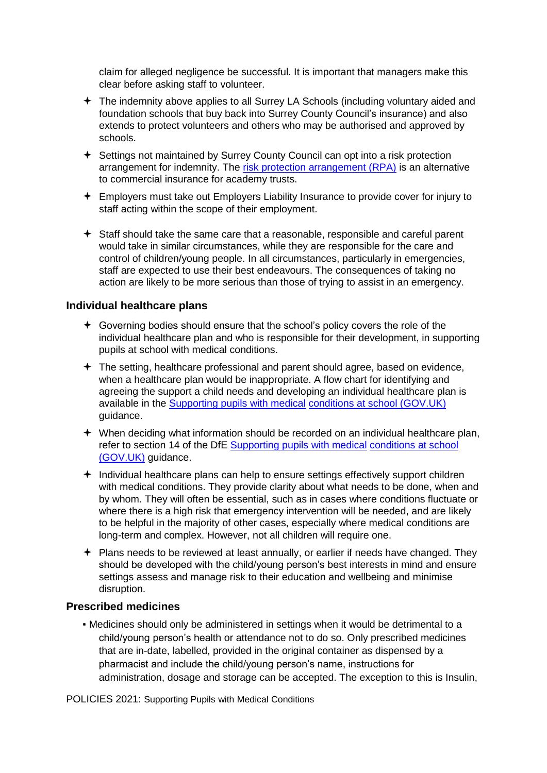claim for alleged negligence be successful. It is important that managers make this clear before asking staff to volunteer.

- The indemnity above applies to all Surrey LA Schools (including voluntary aided and foundation schools that buy back into Surrey County Council's insurance) and also extends to protect volunteers and others who may be authorised and approved by schools.
- Settings not maintained by Surrey County Council can opt into a risk protection arrangement for indemnity. The [risk protection arrangement \(RPA\)](https://www.gov.uk/government/publications/risk-protection-arrangement-rpa-for-academies) [is](https://www.gov.uk/government/publications/risk-protection-arrangement-rpa-for-academies) an alternative to commercial insurance for academy trusts.
- Employers must take out Employers Liability Insurance to provide cover for injury to staff acting within the scope of their employment.
- Staff should take the same care that a reasonable, responsible and careful parent would take in similar circumstances, while they are responsible for the care and control of children/young people. In all circumstances, particularly in emergencies, staff are expected to use their best endeavours. The consequences of taking no action are likely to be more serious than those of trying to assist in an emergency.

#### <span id="page-7-0"></span>**Individual healthcare plans**

- Governing bodies should ensure that the school's policy covers the role of the individual healthcare plan and who is responsible for their development, in supporting pupils at school with medical conditions.
- The setting, healthcare professional and parent should agree, based on evidence, when a healthcare plan would be inappropriate. A flow chart for identifying and agreeing the support a child needs and developing an individual healthcare plan is available in th[e](https://www.gov.uk/government/publications/supporting-pupils-at-school-with-medical-conditions--3) [Supporting pupils with medical](https://www.gov.uk/government/publications/supporting-pupils-at-school-with-medical-conditions--3) [conditions at school \(GOV.UK\)](https://www.gov.uk/government/publications/supporting-pupils-at-school-with-medical-conditions--3) guidance.
- $\rightarrow$  When deciding what information should be recorded on an individual healthcare plan, refer to section 14 of the DfE [Supporting pupils with medical](https://www.gov.uk/government/publications/supporting-pupils-at-school-with-medical-conditions--3) [conditions at school](https://www.gov.uk/government/publications/supporting-pupils-at-school-with-medical-conditions--3)  [\(GOV.UK\)](https://www.gov.uk/government/publications/supporting-pupils-at-school-with-medical-conditions--3) guidance.
- $+$  Individual healthcare plans can help to ensure settings effectively support children with medical conditions. They provide clarity about what needs to be done, when and by whom. They will often be essential, such as in cases where conditions fluctuate or where there is a high risk that emergency intervention will be needed, and are likely to be helpful in the majority of other cases, especially where medical conditions are long-term and complex. However, not all children will require one.
- $\div$  Plans needs to be reviewed at least annually, or earlier if needs have changed. They should be developed with the child/young person's best interests in mind and ensure settings assess and manage risk to their education and wellbeing and minimise disruption.

#### <span id="page-7-1"></span>**Prescribed medicines**

▪ Medicines should only be administered in settings when it would be detrimental to a child/young person's health or attendance not to do so. Only prescribed medicines that are in-date, labelled, provided in the original container as dispensed by a pharmacist and include the child/young person's name, instructions for administration, dosage and storage can be accepted. The exception to this is Insulin,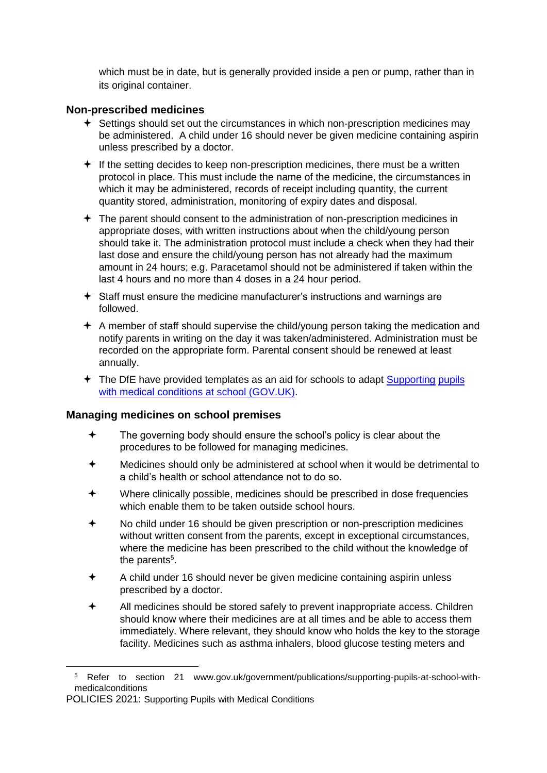which must be in date, but is generally provided inside a pen or pump, rather than in its original container.

## <span id="page-8-0"></span>**Non-prescribed medicines**

- $\div$  Settings should set out the circumstances in which non-prescription medicines may be administered. A child under 16 should never be given medicine containing aspirin unless prescribed by a doctor.
- $\div$  If the setting decides to keep non-prescription medicines, there must be a written protocol in place. This must include the name of the medicine, the circumstances in which it may be administered, records of receipt including quantity, the current quantity stored, administration, monitoring of expiry dates and disposal.
- $\div$  The parent should consent to the administration of non-prescription medicines in appropriate doses, with written instructions about when the child/young person should take it. The administration protocol must include a check when they had their last dose and ensure the child/young person has not already had the maximum amount in 24 hours; e.g. Paracetamol should not be administered if taken within the last 4 hours and no more than 4 doses in a 24 hour period.
- $\triangleq$  Staff must ensure the medicine manufacturer's instructions and warnings are followed.
- A member of staff should supervise the child/young person taking the medication and notify parents in writing on the day it was taken/administered. Administration must be recorded on the appropriate form. Parental consent should be renewed at least annually.
- The DfE have provided templates as an aid for schools to adapt [Supporting](https://www.gov.uk/government/publications/supporting-pupils-at-school-with-medical-conditions--3) [pupils](https://www.gov.uk/government/publications/supporting-pupils-at-school-with-medical-conditions--3)  [with medical conditions at school](https://www.gov.uk/government/publications/supporting-pupils-at-school-with-medical-conditions--3) [\(GOV.UK\).](https://www.gov.uk/government/publications/supporting-pupils-at-school-with-medical-conditions--3)

#### <span id="page-8-1"></span>**Managing medicines on school premises**

- $\bigstar$  The governing body should ensure the school's policy is clear about the procedures to be followed for managing medicines.
- Medicines should only be administered at school when it would be detrimental to a child's health or school attendance not to do so.
- Where clinically possible, medicines should be prescribed in dose frequencies which enable them to be taken outside school hours.
- No child under 16 should be given prescription or non-prescription medicines without written consent from the parents, except in exceptional circumstances, where the medicine has been prescribed to the child without the knowledge of the parents<sup>5</sup>.
- A child under 16 should never be given medicine containing aspirin unless prescribed by a doctor.
- All medicines should be stored safely to prevent inappropriate access. Children should know where their medicines are at all times and be able to access them immediately. Where relevant, they should know who holds the key to the storage facility. Medicines such as asthma inhalers, blood glucose testing meters and

**.** 

<sup>5</sup> Refer to section 21 www.gov.uk/government/publications/supporting-pupils-at-school-withmedicalconditions

POLICIES 2021: Supporting Pupils with Medical Conditions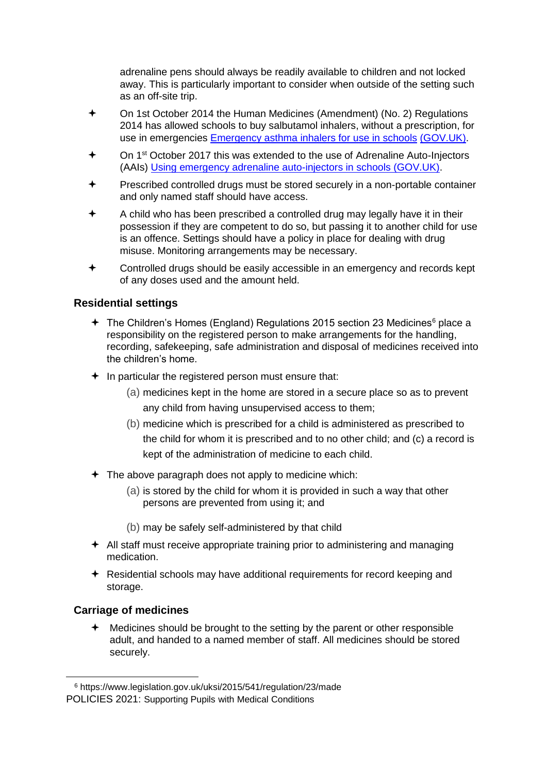adrenaline pens should always be readily available to children and not locked away. This is particularly important to consider when outside of the setting such as an off-site trip.

- On 1st October 2014 the Human Medicines (Amendment) (No. 2) Regulations 2014 has allowed schools to buy salbutamol inhalers, without a prescription, for use in emergencies [Emergency asthma inhalers for use in schools](https://www.gov.uk/government/publications/emergency-asthma-inhalers-for-use-in-schools) [\(GOV.UK\).](https://www.gov.uk/government/publications/emergency-asthma-inhalers-for-use-in-schools)
- On 1<sup>st</sup> October 2017 this was extended to the use of Adrenaline Auto-Injectors (AAIs) [Using emergency adrenaline auto-injectors in schools \(GOV.UK\).](https://www.gov.uk/government/publications/using-emergency-adrenaline-auto-injectors-in-schools)
- Prescribed controlled drugs must be stored securely in a non-portable container and only named staff should have access.
- A child who has been prescribed a controlled drug may legally have it in their possession if they are competent to do so, but passing it to another child for use is an offence. Settings should have a policy in place for dealing with drug misuse. Monitoring arrangements may be necessary.
- Controlled drugs should be easily accessible in an emergency and records kept of any doses used and the amount held.

#### <span id="page-9-0"></span>**Residential settings**

- $\div$  The Children's Homes (England) Regulations 2015 section 23 Medicines<sup>6</sup> place a responsibility on the registered person to make arrangements for the handling, recording, safekeeping, safe administration and disposal of medicines received into the children's home.
- $\div$  In particular the registered person must ensure that:
	- (a) medicines kept in the home are stored in a secure place so as to prevent any child from having unsupervised access to them;
	- (b) medicine which is prescribed for a child is administered as prescribed to the child for whom it is prescribed and to no other child; and (c) a record is kept of the administration of medicine to each child.
- $\div$  The above paragraph does not apply to medicine which:
	- (a) is stored by the child for whom it is provided in such a way that other persons are prevented from using it; and
	- (b) may be safely self-administered by that child
- $\triangleq$  All staff must receive appropriate training prior to administering and managing medication.
- $\triangle$  Residential schools may have additional requirements for record keeping and storage.

#### <span id="page-9-1"></span>**Carriage of medicines**

**.** 

 $\bigstar$  Medicines should be brought to the setting by the parent or other responsible adult, and handed to a named member of staff. All medicines should be stored securely.

<sup>6</sup> https://www.legislation.gov.uk/uksi/2015/541/regulation/23/made

POLICIES 2021: Supporting Pupils with Medical Conditions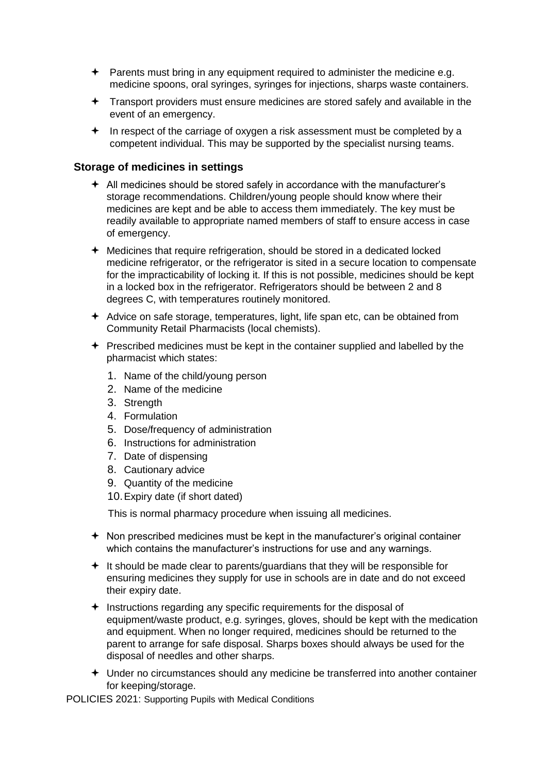- $\rightarrow$  Parents must bring in any equipment required to administer the medicine e.g. medicine spoons, oral syringes, syringes for injections, sharps waste containers.
- Transport providers must ensure medicines are stored safely and available in the event of an emergency.
- $\div$  In respect of the carriage of oxygen a risk assessment must be completed by a competent individual. This may be supported by the specialist nursing teams.

#### <span id="page-10-0"></span>**Storage of medicines in settings**

- $\triangleq$  All medicines should be stored safely in accordance with the manufacturer's storage recommendations. Children/young people should know where their medicines are kept and be able to access them immediately. The key must be readily available to appropriate named members of staff to ensure access in case of emergency.
- Medicines that require refrigeration, should be stored in a dedicated locked medicine refrigerator, or the refrigerator is sited in a secure location to compensate for the impracticability of locking it. If this is not possible, medicines should be kept in a locked box in the refrigerator. Refrigerators should be between 2 and 8 degrees C, with temperatures routinely monitored.
- $\triangle$  Advice on safe storage, temperatures, light, life span etc, can be obtained from Community Retail Pharmacists (local chemists).
- $\div$  Prescribed medicines must be kept in the container supplied and labelled by the pharmacist which states:
	- 1. Name of the child/young person
	- 2. Name of the medicine
	- 3. Strength
	- 4. Formulation
	- 5. Dose/frequency of administration
	- 6. Instructions for administration
	- 7. Date of dispensing
	- 8. Cautionary advice
	- 9. Quantity of the medicine
	- 10.Expiry date (if short dated)

This is normal pharmacy procedure when issuing all medicines.

- $\triangle$  Non prescribed medicines must be kept in the manufacturer's original container which contains the manufacturer's instructions for use and any warnings.
- $+$  It should be made clear to parents/guardians that they will be responsible for ensuring medicines they supply for use in schools are in date and do not exceed their expiry date.
- $\div$  Instructions regarding any specific requirements for the disposal of equipment/waste product, e.g. syringes, gloves, should be kept with the medication and equipment. When no longer required, medicines should be returned to the parent to arrange for safe disposal. Sharps boxes should always be used for the disposal of needles and other sharps.
- Under no circumstances should any medicine be transferred into another container for keeping/storage.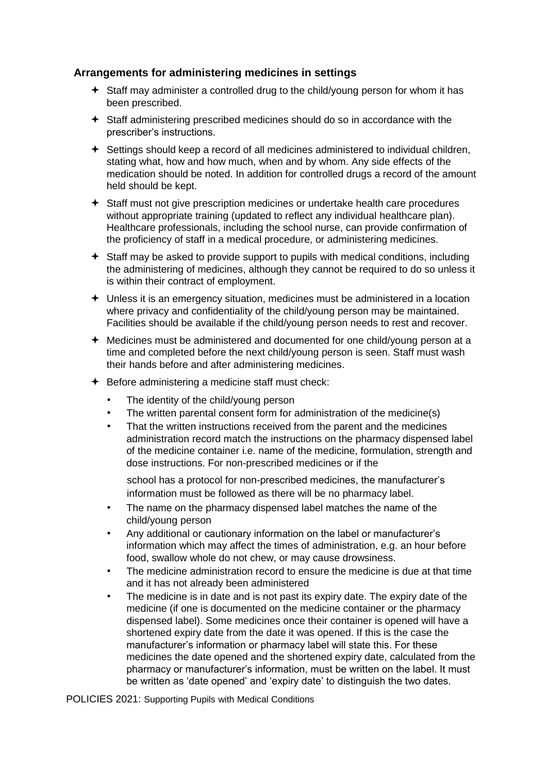## <span id="page-11-0"></span>**Arrangements for administering medicines in settings**

- Staff may administer a controlled drug to the child/young person for whom it has been prescribed.
- Staff administering prescribed medicines should do so in accordance with the prescriber's instructions.
- Settings should keep a record of all medicines administered to individual children, stating what, how and how much, when and by whom. Any side effects of the medication should be noted. In addition for controlled drugs a record of the amount held should be kept.
- Staff must not give prescription medicines or undertake health care procedures without appropriate training (updated to reflect any individual healthcare plan). Healthcare professionals, including the school nurse, can provide confirmation of the proficiency of staff in a medical procedure, or administering medicines.
- $\triangleq$  Staff may be asked to provide support to pupils with medical conditions, including the administering of medicines, although they cannot be required to do so unless it is within their contract of employment.
- Unless it is an emergency situation, medicines must be administered in a location where privacy and confidentiality of the child/young person may be maintained. Facilities should be available if the child/young person needs to rest and recover.
- Medicines must be administered and documented for one child/young person at a time and completed before the next child/young person is seen. Staff must wash their hands before and after administering medicines.
- $\div$  Before administering a medicine staff must check:
	- The identity of the child/young person
	- The written parental consent form for administration of the medicine(s)
	- That the written instructions received from the parent and the medicines administration record match the instructions on the pharmacy dispensed label of the medicine container i.e. name of the medicine, formulation, strength and dose instructions. For non-prescribed medicines or if the

school has a protocol for non-prescribed medicines, the manufacturer's information must be followed as there will be no pharmacy label.

- The name on the pharmacy dispensed label matches the name of the child/young person
- Any additional or cautionary information on the label or manufacturer's information which may affect the times of administration, e.g. an hour before food, swallow whole do not chew, or may cause drowsiness.
- The medicine administration record to ensure the medicine is due at that time and it has not already been administered
- The medicine is in date and is not past its expiry date. The expiry date of the medicine (if one is documented on the medicine container or the pharmacy dispensed label). Some medicines once their container is opened will have a shortened expiry date from the date it was opened. If this is the case the manufacturer's information or pharmacy label will state this. For these medicines the date opened and the shortened expiry date, calculated from the pharmacy or manufacturer's information, must be written on the label. It must be written as 'date opened' and 'expiry date' to distinguish the two dates.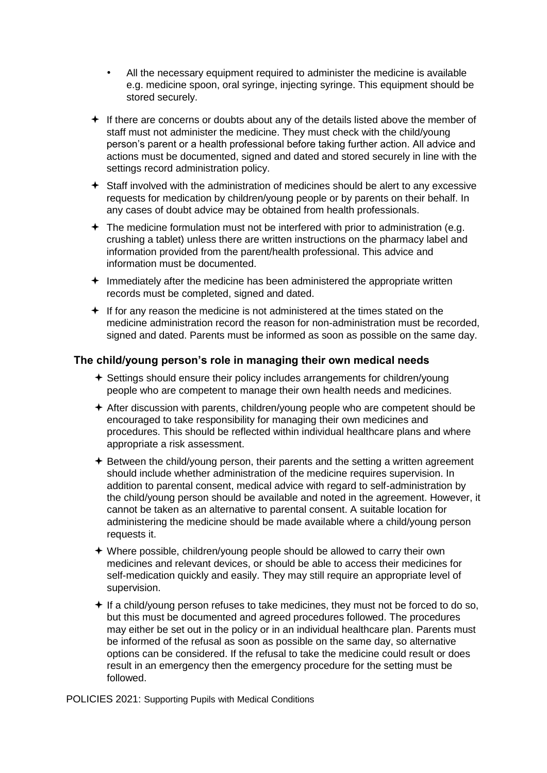- All the necessary equipment required to administer the medicine is available e.g. medicine spoon, oral syringe, injecting syringe. This equipment should be stored securely.
- $\div$  If there are concerns or doubts about any of the details listed above the member of staff must not administer the medicine. They must check with the child/young person's parent or a health professional before taking further action. All advice and actions must be documented, signed and dated and stored securely in line with the settings record administration policy.
- Staff involved with the administration of medicines should be alert to any excessive requests for medication by children/young people or by parents on their behalf. In any cases of doubt advice may be obtained from health professionals.
- $\div$  The medicine formulation must not be interfered with prior to administration (e.g. crushing a tablet) unless there are written instructions on the pharmacy label and information provided from the parent/health professional. This advice and information must be documented.
- $+$  Immediately after the medicine has been administered the appropriate written records must be completed, signed and dated.
- $\div$  If for any reason the medicine is not administered at the times stated on the medicine administration record the reason for non-administration must be recorded, signed and dated. Parents must be informed as soon as possible on the same day.

#### <span id="page-12-0"></span>**The child/young person's role in managing their own medical needs**

- Settings should ensure their policy includes arrangements for children/young people who are competent to manage their own health needs and medicines.
- After discussion with parents, children/young people who are competent should be encouraged to take responsibility for managing their own medicines and procedures. This should be reflected within individual healthcare plans and where appropriate a risk assessment.
- $\triangle$  Between the child/young person, their parents and the setting a written agreement should include whether administration of the medicine requires supervision. In addition to parental consent, medical advice with regard to self-administration by the child/young person should be available and noted in the agreement. However, it cannot be taken as an alternative to parental consent. A suitable location for administering the medicine should be made available where a child/young person requests it.
- Where possible, children/young people should be allowed to carry their own medicines and relevant devices, or should be able to access their medicines for self-medication quickly and easily. They may still require an appropriate level of supervision.
- $\div$  If a child/young person refuses to take medicines, they must not be forced to do so, but this must be documented and agreed procedures followed. The procedures may either be set out in the policy or in an individual healthcare plan. Parents must be informed of the refusal as soon as possible on the same day, so alternative options can be considered. If the refusal to take the medicine could result or does result in an emergency then the emergency procedure for the setting must be followed.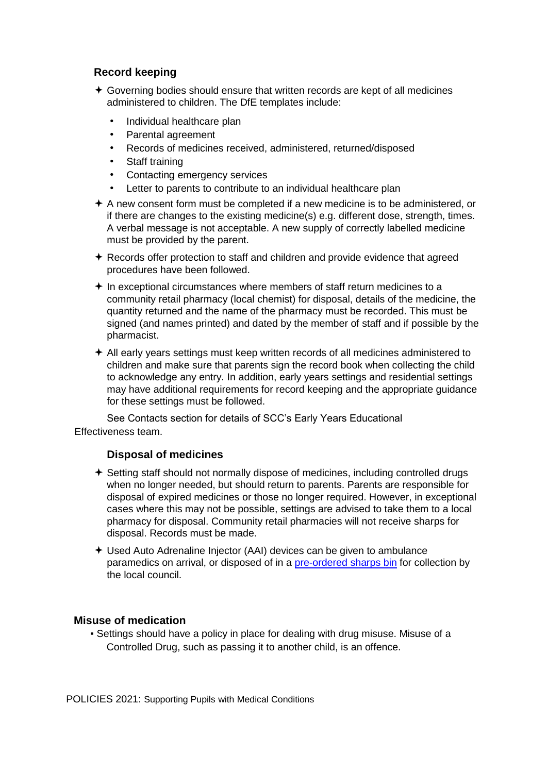## <span id="page-13-0"></span>**Record keeping**

- $\div$  Governing bodies should ensure that written records are kept of all medicines administered to children. The DfE templates include:
	- Individual healthcare plan
	- Parental agreement
	- Records of medicines received, administered, returned/disposed
	- Staff training
	- Contacting emergency services
	- Letter to parents to contribute to an individual healthcare plan
- $\triangle$  A new consent form must be completed if a new medicine is to be administered, or if there are changes to the existing medicine(s) e.g. different dose, strength, times. A verbal message is not acceptable. A new supply of correctly labelled medicine must be provided by the parent.
- $\triangle$  Records offer protection to staff and children and provide evidence that agreed procedures have been followed.
- $+$  In exceptional circumstances where members of staff return medicines to a community retail pharmacy (local chemist) for disposal, details of the medicine, the quantity returned and the name of the pharmacy must be recorded. This must be signed (and names printed) and dated by the member of staff and if possible by the pharmacist.
- $\div$  All early years settings must keep written records of all medicines administered to children and make sure that parents sign the record book when collecting the child to acknowledge any entry. In addition, early years settings and residential settings may have additional requirements for record keeping and the appropriate guidance for these settings must be followed.

See Contacts section for details of SCC's Early Years Educational Effectiveness team.

## **Disposal of medicines**

- <span id="page-13-1"></span> Setting staff should not normally dispose of medicines, including controlled drugs when no longer needed, but should return to parents. Parents are responsible for disposal of expired medicines or those no longer required. However, in exceptional cases where this may not be possible, settings are advised to take them to a local pharmacy for disposal. Community retail pharmacies will not receive sharps for disposal. Records must be made.
- Used Auto Adrenaline Injector (AAI) devices can be given to ambulance paramedics on arrival, or disposed of in a [pre-ordered sharps bin](https://www.surreycc.gov.uk/waste-and-recycling/search-tool/healthcare-clinical-waste) for collection by the local council.

## **Misuse of medication**

▪ Settings should have a policy in place for dealing with drug misuse. Misuse of a Controlled Drug, such as passing it to another child, is an offence.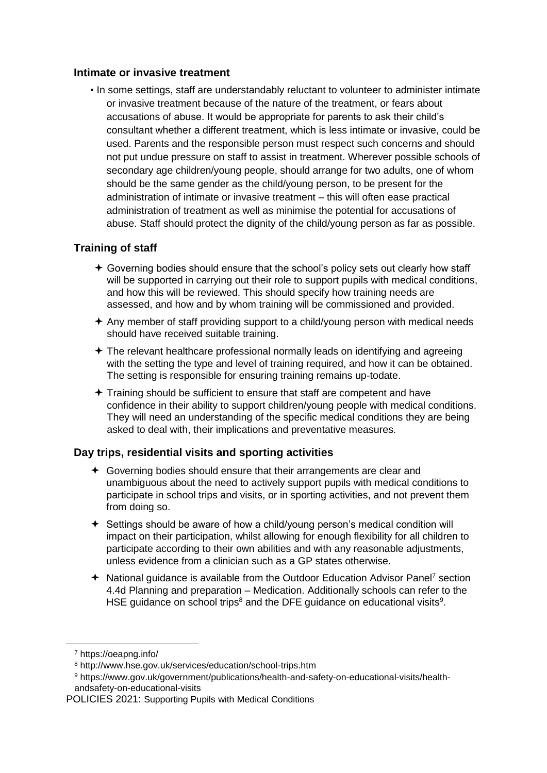#### <span id="page-14-0"></span>**Intimate or invasive treatment**

▪ In some settings, staff are understandably reluctant to volunteer to administer intimate or invasive treatment because of the nature of the treatment, or fears about accusations of abuse. It would be appropriate for parents to ask their child's consultant whether a different treatment, which is less intimate or invasive, could be used. Parents and the responsible person must respect such concerns and should not put undue pressure on staff to assist in treatment. Wherever possible schools of secondary age children/young people, should arrange for two adults, one of whom should be the same gender as the child/young person, to be present for the administration of intimate or invasive treatment – this will often ease practical administration of treatment as well as minimise the potential for accusations of abuse. Staff should protect the dignity of the child/young person as far as possible.

# <span id="page-14-1"></span>**Training of staff**

- $\triangle$  Governing bodies should ensure that the school's policy sets out clearly how staff will be supported in carrying out their role to support pupils with medical conditions, and how this will be reviewed. This should specify how training needs are assessed, and how and by whom training will be commissioned and provided.
- $\triangle$  Any member of staff providing support to a child/young person with medical needs should have received suitable training.
- The relevant healthcare professional normally leads on identifying and agreeing with the setting the type and level of training required, and how it can be obtained. The setting is responsible for ensuring training remains up-todate.
- Training should be sufficient to ensure that staff are competent and have confidence in their ability to support children/young people with medical conditions. They will need an understanding of the specific medical conditions they are being asked to deal with, their implications and preventative measures.

## <span id="page-14-2"></span>**Day trips, residential visits and sporting activities**

- Governing bodies should ensure that their arrangements are clear and unambiguous about the need to actively support pupils with medical conditions to participate in school trips and visits, or in sporting activities, and not prevent them from doing so.
- Settings should be aware of how a child/young person's medical condition will impact on their participation, whilst allowing for enough flexibility for all children to participate according to their own abilities and with any reasonable adjustments, unless evidence from a clinician such as a GP states otherwise.
- $\div$  National guidance is available from the Outdoor Education Advisor Panel<sup>7</sup> section 4.4d Planning and preparation – Medication. Additionally schools can refer to the HSE guidance on school trips<sup>8</sup> and the DFE guidance on educational visits<sup>9</sup>.

**.** 

<sup>7</sup> https://oeapng.info/

<sup>8</sup> http://www.hse.gov.uk/services/education/school-trips.htm

<sup>9</sup> https://www.gov.uk/government/publications/health-and-safety-on-educational-visits/healthandsafety-on-educational-visits

POLICIES 2021: Supporting Pupils with Medical Conditions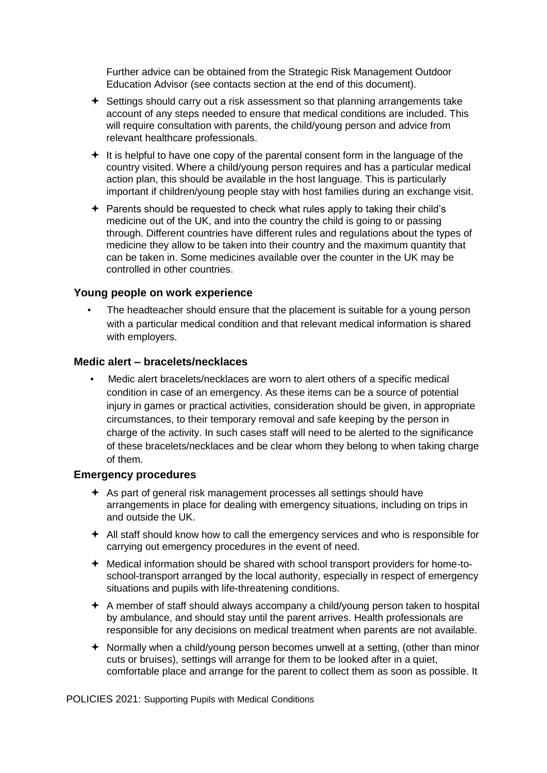Further advice can be obtained from the Strategic Risk Management Outdoor Education Advisor (see contacts section at the end of this document).

- $\triangleq$  Settings should carry out a risk assessment so that planning arrangements take account of any steps needed to ensure that medical conditions are included. This will require consultation with parents, the child/young person and advice from relevant healthcare professionals.
- $+$  It is helpful to have one copy of the parental consent form in the language of the country visited. Where a child/young person requires and has a particular medical action plan, this should be available in the host language. This is particularly important if children/young people stay with host families during an exchange visit.
- Parents should be requested to check what rules apply to taking their child's medicine out of the UK, and into the country the child is going to or passing through. Different countries have different rules and regulations about the types of medicine they allow to be taken into their country and the maximum quantity that can be taken in. Some medicines available over the counter in the UK may be controlled in other countries.

#### <span id="page-15-0"></span>**Young people on work experience**

The headteacher should ensure that the placement is suitable for a young person with a particular medical condition and that relevant medical information is shared with employers.

#### <span id="page-15-1"></span>**Medic alert – bracelets/necklaces**

Medic alert bracelets/necklaces are worn to alert others of a specific medical condition in case of an emergency. As these items can be a source of potential injury in games or practical activities, consideration should be given, in appropriate circumstances, to their temporary removal and safe keeping by the person in charge of the activity. In such cases staff will need to be alerted to the significance of these bracelets/necklaces and be clear whom they belong to when taking charge of them.

#### <span id="page-15-2"></span>**Emergency procedures**

- As part of general risk management processes all settings should have arrangements in place for dealing with emergency situations, including on trips in and outside the UK.
- $\triangleq$  All staff should know how to call the emergency services and who is responsible for carrying out emergency procedures in the event of need.
- Medical information should be shared with school transport providers for home-toschool-transport arranged by the local authority, especially in respect of emergency situations and pupils with life-threatening conditions.
- $\triangle$  A member of staff should always accompany a child/young person taken to hospital by ambulance, and should stay until the parent arrives. Health professionals are responsible for any decisions on medical treatment when parents are not available.
- Normally when a child/young person becomes unwell at a setting, (other than minor cuts or bruises), settings will arrange for them to be looked after in a quiet, comfortable place and arrange for the parent to collect them as soon as possible. It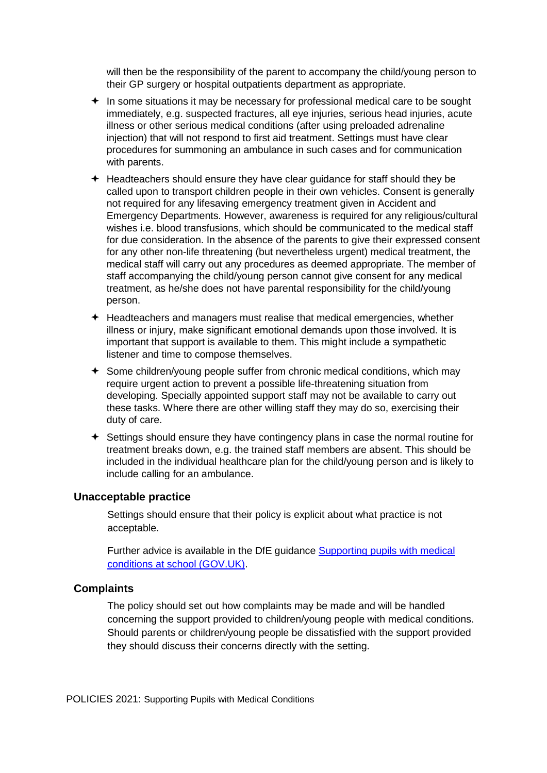will then be the responsibility of the parent to accompany the child/young person to their GP surgery or hospital outpatients department as appropriate.

- $+$  In some situations it may be necessary for professional medical care to be sought immediately, e.g. suspected fractures, all eye injuries, serious head injuries, acute illness or other serious medical conditions (after using preloaded adrenaline injection) that will not respond to first aid treatment. Settings must have clear procedures for summoning an ambulance in such cases and for communication with parents.
- $\div$  Headteachers should ensure they have clear guidance for staff should they be called upon to transport children people in their own vehicles. Consent is generally not required for any lifesaving emergency treatment given in Accident and Emergency Departments. However, awareness is required for any religious/cultural wishes i.e. blood transfusions, which should be communicated to the medical staff for due consideration. In the absence of the parents to give their expressed consent for any other non-life threatening (but nevertheless urgent) medical treatment, the medical staff will carry out any procedures as deemed appropriate. The member of staff accompanying the child/young person cannot give consent for any medical treatment, as he/she does not have parental responsibility for the child/young person.
- $\div$  Headteachers and managers must realise that medical emergencies, whether illness or injury, make significant emotional demands upon those involved. It is important that support is available to them. This might include a sympathetic listener and time to compose themselves.
- Some children/young people suffer from chronic medical conditions, which may require urgent action to prevent a possible life-threatening situation from developing. Specially appointed support staff may not be available to carry out these tasks. Where there are other willing staff they may do so, exercising their duty of care.
- $\triangle$  Settings should ensure they have contingency plans in case the normal routine for treatment breaks down, e.g. the trained staff members are absent. This should be included in the individual healthcare plan for the child/young person and is likely to include calling for an ambulance.

#### <span id="page-16-0"></span>**Unacceptable practice**

Settings should ensure that their policy is explicit about what practice is not acceptable.

Further advice is available in the DfE guidance [Supporting pupils with medical](https://www.gov.uk/government/publications/supporting-pupils-at-school-with-medical-conditions--3) [conditions at school \(GOV.UK\).](https://www.gov.uk/government/publications/supporting-pupils-at-school-with-medical-conditions--3)

#### <span id="page-16-1"></span>**Complaints**

The policy should set out how complaints may be made and will be handled concerning the support provided to children/young people with medical conditions. Should parents or children/young people be dissatisfied with the support provided they should discuss their concerns directly with the setting.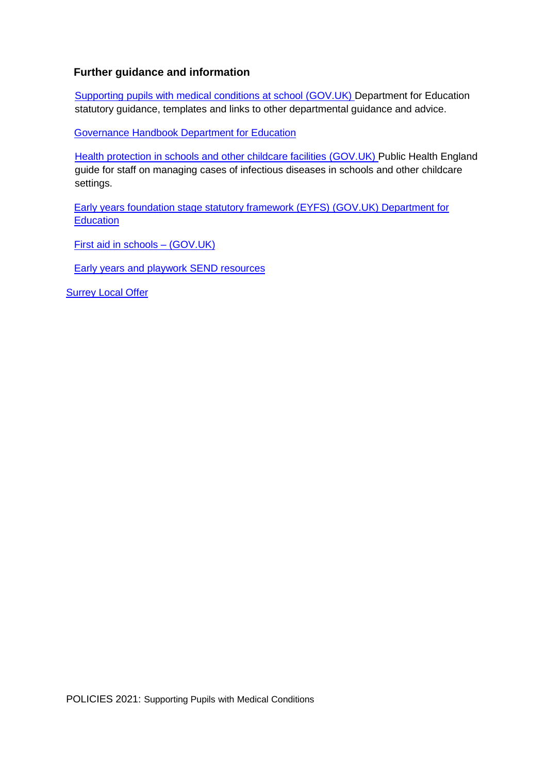# <span id="page-17-0"></span>**Further guidance and information**

[Supporting pupils with medical conditions at school](https://www.gov.uk/government/publications/supporting-pupils-at-school-with-medical-conditions--3) [\(GOV.UK\)](https://www.gov.uk/government/publications/supporting-pupils-at-school-with-medical-conditions--3) Department for Education statutory guidance, templates and links to other departmental guidance and advice.

[Governance Handbook](https://www.gov.uk/government/uploads/system/uploads/attachment_data/file/582868/Governance_Handbook_-_January_2017.pdf) [D](https://www.gov.uk/government/uploads/system/uploads/attachment_data/file/582868/Governance_Handbook_-_January_2017.pdf)epartment for Education

[Health protection in schools and other childcare facilities](https://www.gov.uk/government/publications/health-protection-in-schools-and-other-childcare-facilities) [\(GOV.UK\)](https://www.gov.uk/government/publications/health-protection-in-schools-and-other-childcare-facilities) Public Health England guide for staff on managing cases of infectious diseases in schools and other childcare settings.

[Early years foundation stage statutory framework \(EYFS\) \(GOV.UK\)](https://www.gov.uk/government/publications/early-years-foundation-stage-framework--2) Department for **Education** 

[First aid in schools –](https://www.gov.uk/government/publications/first-aid-in-schools) [\(GOV.UK\)](https://www.gov.uk/government/publications/first-aid-in-schools)

[Early years and playwork SEND resource](https://www.surreylocaloffer.org.uk/kb5/surrey/localoffer/advice.page?id=NpVDtph7brU)s

**Surrey Local Offer**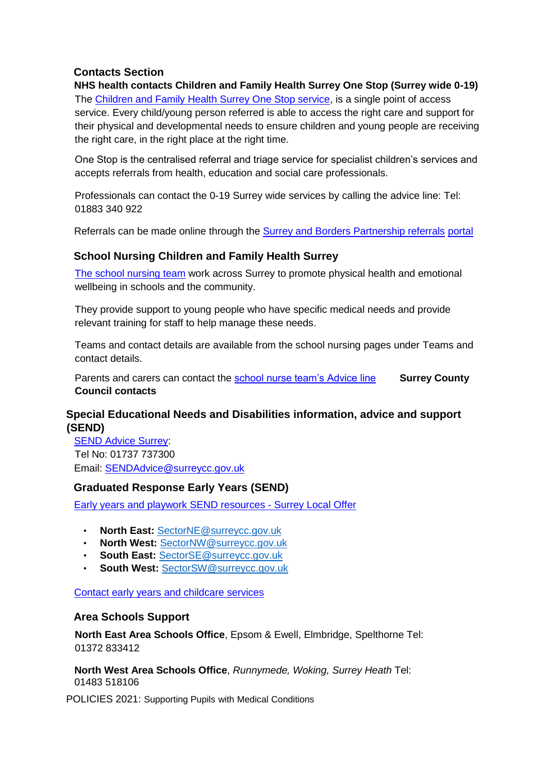# <span id="page-18-0"></span>**Contacts Section**

**NHS health contacts Children and Family Health Surrey One Stop (Surrey wide 0-19)**  The [Children and Family Health Surrey One Stop service,](https://childrenshealthsurrey.nhs.uk/) is a single point of access service. Every child/young person referred is able to access the right care and support for their physical and developmental needs to ensure children and young people are receiving the right care, in the right place at the right time.

One Stop is the centralised referral and triage service for specialist children's services and accepts referrals from health, education and social care professionals.

Professionals can contact the 0-19 Surrey wide services by calling the advice line: Tel: 01883 340 922

Referrals can be made online through th[e](https://childrensreferrals.sabp.nhs.uk/) [Surrey and Borders Partnership referrals](https://childrensreferrals.sabp.nhs.uk/) [portal](https://childrensreferrals.sabp.nhs.uk/)

#### **School Nursing Children and Family Health Surrey**

[The school nursing team](https://childrenshealthsurrey.nhs.uk/services/school-nursing-general) work across Surrey to promote physical health and emotional wellbeing in schools and the community.

They provide support to young people who have specific medical needs and provide relevant training for staff to help manage these needs.

Teams and contact details are available from the school nursing pages under Teams and contact details.

Parents and carers can contact the [school nurse team's Advice line](https://childrenshealthsurrey.nhs.uk/services/advice-line) **Surrey County Council contacts** 

# **Special Educational Needs and Disabilities information, advice and support (SEND)**

[SEND Advice Surrey:](https://sendadvicesurrey.org.uk/) Tel No: 01737 737300 Email: SENDAdvice@surreycc.gov.uk

## **Graduated Response Early Years (SEND)**

[Early years and playwork SEND resources](https://www.surreylocaloffer.org.uk/kb5/surrey/localoffer/advice.page?id=NpVDtph7brU) [-](https://www.surreylocaloffer.org.uk/kb5/surrey/localoffer/advice.page?id=NpVDtph7brU) [Surrey Local Offer](https://www.surreylocaloffer.org.uk/kb5/surrey/localoffer/advice.page?id=NpVDtph7brU)

- **North East:** SectorNE@surreycc.gov.uk
- **North West:** SectorNW@surreycc.gov.uk
- **South East:** SectorSE@surreycc.gov.uk
- **South West:** SectorSW@surreycc.gov.uk

[Contact early years and childcare services](https://www.surreycc.gov.uk/schools-and-learning/childcare-professionals/contact-the-early-years-and-childcare-service)

#### **Area Schools Support**

**North East Area Schools Office**, Epsom & Ewell, Elmbridge, Spelthorne Tel: 01372 833412

**North West Area Schools Office**, *Runnymede, Woking, Surrey Heath* Tel: 01483 518106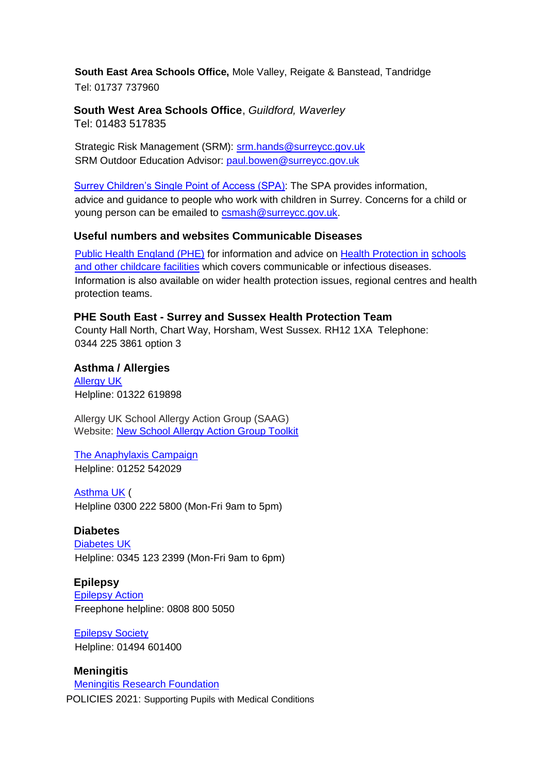**South East Area Schools Office,** Mole Valley, Reigate & Banstead, Tandridge

Tel: 01737 737960

**South West Area Schools Office**, *Guildford, Waverley* Tel: 01483 517835

Strategic Risk Management (SRM): srm.hands@surreycc.gov.uk SRM Outdoor Education Advisor: paul.bowen@surreycc.gov.uk

[Surrey Children's Single Point of Access \(SPA\):](https://www.surreycc.gov.uk/social-care-and-health/childrens-social-care/contact-childrens-services) The SPA provides information, advice and guidance to people who work with children in Surrey. Concerns for a child or young person can be emailed to csmash@surreycc.gov.uk.

# **Useful numbers and websites Communicable Diseases**

[Public Health England \(PHE\)](http://www.gov.uk/government/organisations/public-health-england) for information and advice on [Health Protection in](https://www.gov.uk/government/publications/health-protection-in-schools-and-other-childcare-facilities) schools [and other childcare facilities](https://www.gov.uk/government/publications/health-protection-in-schools-and-other-childcare-facilities) [w](https://www.gov.uk/government/publications/health-protection-in-schools-and-other-childcare-facilities)hich covers communicable or infectious diseases. Information is also available on wider health protection issues, regional centres and health protection teams.

**PHE South East - Surrey and Sussex Health Protection Team**  County Hall North, Chart Way, Horsham, West Sussex. RH12 1XA Telephone: 0344 225 3861 option 3

**Asthma / Allergies**  [Allergy UK](https://www.allergyuk.org/) Helpline: 01322 619898

Allergy UK School Allergy Action Group (SAAG) Website: [New School Allergy Action Group Toolkit](https://www.iosh.com/membership/our-membership-network/our-groups/education-group/news/new-school-allergy-action-group-toolkit/)

[The Anaphylaxis Campaign](http://www.anaphylaxis.org.uk/) Helpline: 01252 542029

[Asthma UK](http://www.asthma.org.uk/) ( Helpline 0300 222 5800 (Mon-Fri 9am to 5pm)

**Diabetes** 

[Diabetes UK](http://www.diabetes.org.uk/) Helpline: 0345 123 2399 (Mon-Fri 9am to 6pm)

**Epilepsy**  [Epilepsy Action](http://www.epilepsy.org.uk/)

Freephone helpline: 0808 800 5050

[Epilepsy Society](http://www.epilepsysociety.org.uk/) Helpline: 01494 601400

POLICIES 2021: Supporting Pupils with Medical Conditions **Meningitis**  [Meningitis Research Foundation](http://www.meningitis.org/)